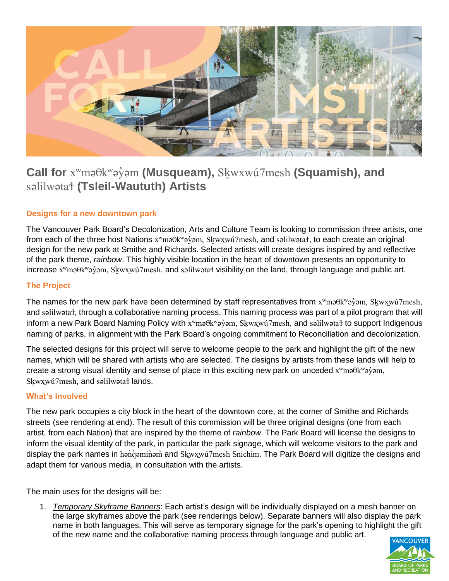

# **Call for** xʷməθkʷəy̓əm **(Musqueam),** Sḵwxwú7mesh **(Squamish), and**  səlilwətaɬ **(Tsleil-Waututh) Artists**

# **Designs for a new downtown park**

The Vancouver Park Board's Decolonization, Arts and Culture Team is looking to commission three artists, one from each of the three host Nations x<sup>w</sup>mə $\theta$ k<sup>w</sup>ə $\dot{\theta}$ əm, Skwxwú7mesh, and səlilwətał, to each create an original design for the new park at Smithe and Richards. Selected artists will create designs inspired by and reflective of the park theme, *rainbow*. This highly visible location in the heart of downtown presents an opportunity to increase x<sup>w</sup>məθk<sup>w</sup>əy̓əm, Skwxwú7mesh, and səlilwətat visibility on the land, through language and public art.

#### **The Project**

The names for the new park have been determined by staff representatives from x<sup>w</sup>məθk<sup>w</sup>əγ̓əm, Skwxwú7mesh, and səlilwətaɬ, through a collaborative naming process. This naming process was part of a pilot program that will inform a new Park Board Naming Policy with x<sup>w</sup>ma Okwayoim, Skwxwu 7mesh, and salilwatat to support Indigenous naming of parks, in alignment with the Park Board's ongoing commitment to Reconciliation and decolonization.

The selected designs for this project will serve to welcome people to the park and highlight the gift of the new names, which will be shared with artists who are selected. The designs by artists from these lands will help to create a strong visual identity and sense of place in this exciting new park on unceded x<sup>w</sup>maθk<sup>w</sup>aγ̀am, Skwxwú7mesh, and səlilwətat lands.

#### **What's Involved**

The new park occupies a city block in the heart of the downtown core, at the corner of Smithe and Richards streets (see rendering at end). The result of this commission will be three original designs (one from each artist, from each Nation) that are inspired by the theme of *rainbow*. The Park Board will license the designs to inform the visual identity of the park, in particular the park signage, which will welcome visitors to the park and display the park names in hənd əminəm and Skwxwu 7mesh Snichim. The Park Board will digitize the designs and adapt them for various media, in consultation with the artists.

The main uses for the designs will be:

1. *Temporary Skyframe Banners*: Each artist's design will be individually displayed on a mesh banner on the large skyframes above the park (see renderings below). Separate banners will also display the park name in both languages. This will serve as temporary signage for the park's opening to highlight the gift of the new name and the collaborative naming process through language and public art.

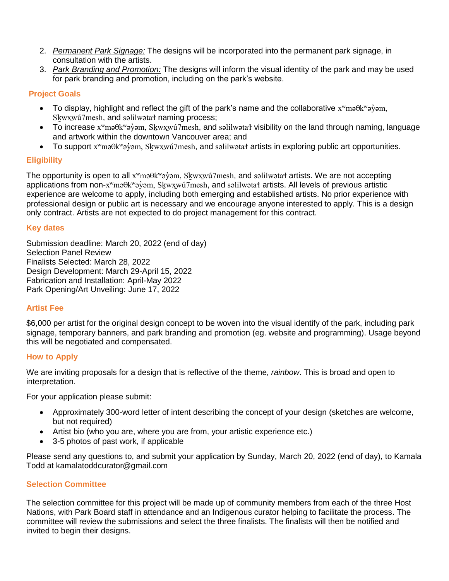- 2. *Permanent Park Signage:* The designs will be incorporated into the permanent park signage, in consultation with the artists.
- 3. *Park Branding and Promotion:* The designs will inform the visual identity of the park and may be used for park branding and promotion, including on the park's website.

### **Project Goals**

- To display, highlight and reflect the gift of the park's name and the collaborative  $x^w$ mə $\theta$ k $^w$ ə $\dot{\theta}$ sm, Skwxwú7mesh, and səlilwətat naming process;
- To increase x<sup>w</sup>məθk<sup>w</sup>əy bm, Skwxwú7mesh, and səlilwətat visibility on the land through naming, language and artwork within the downtown Vancouver area; and
- To support x<sup>w</sup>məθk<sup>w</sup>əy bm, Skwxwú7mesh, and səlilwətat artists in exploring public art opportunities.

## **Eligibility**

The opportunity is open to all x<sup>w</sup>mə $\theta$ k<sup>w</sup>ə $\dot{\theta}$ əm, Skwxwú7mesh, and səlilwətat artists. We are not accepting applications from non-x<sup>w</sup>məθk<sup>w</sup>əy̓əm, Skwxwú7mesh, and səlilwətat artists. All levels of previous artistic experience are welcome to apply, including both emerging and established artists. No prior experience with professional design or public art is necessary and we encourage anyone interested to apply. This is a design only contract. Artists are not expected to do project management for this contract.

## **Key dates**

Submission deadline: March 20, 2022 (end of day) Selection Panel Review Finalists Selected: March 28, 2022 Design Development: March 29-April 15, 2022 Fabrication and Installation: April-May 2022 Park Opening/Art Unveiling: June 17, 2022

## **Artist Fee**

\$6,000 per artist for the original design concept to be woven into the visual identify of the park, including park signage, temporary banners, and park branding and promotion (eg. website and programming). Usage beyond this will be negotiated and compensated.

#### **How to Apply**

We are inviting proposals for a design that is reflective of the theme, *rainbow*. This is broad and open to interpretation.

For your application please submit:

- Approximately 300-word letter of intent describing the concept of your design (sketches are welcome, but not required)
- Artist bio (who you are, where you are from, your artistic experience etc.)
- 3-5 photos of past work, if applicable

Please send any questions to, and submit your application by Sunday, March 20, 2022 (end of day), to Kamala Todd at [kamalat](mailto:jessica.carson@vancouver.ca)oddcurator@gmail.com

#### **Selection Committee**

The selection committee for this project will be made up of community members from each of the three Host Nations, with Park Board staff in attendance and an Indigenous curator helping to facilitate the process. The committee will review the submissions and select the three finalists. The finalists will then be notified and invited to begin their designs.